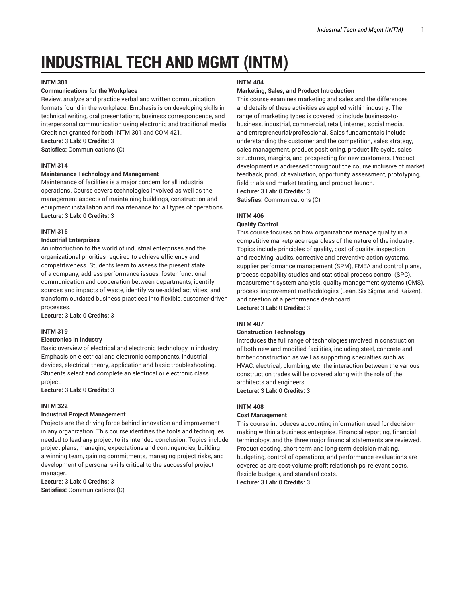# **INDUSTRIAL TECH AND MGMT (INTM)**

## **INTM 301**

## **Communications for the Workplace**

Review, analyze and practice verbal and written communication formats found in the workplace. Emphasis is on developing skills in technical writing, oral presentations, business correspondence, and interpersonal communication using electronic and traditional media. Credit not granted for both INTM 301 and COM 421.

# **Lecture:** 3 **Lab:** 0 **Credits:** 3

**Satisfies:** Communications (C)

## **INTM 314**

## **Maintenance Technology and Management**

Maintenance of facilities is a major concern for all industrial operations. Course covers technologies involved as well as the management aspects of maintaining buildings, construction and equipment installation and maintenance for all types of operations. **Lecture:** 3 **Lab:** 0 **Credits:** 3

## **INTM 315**

## **Industrial Enterprises**

An introduction to the world of industrial enterprises and the organizational priorities required to achieve efficiency and competitiveness. Students learn to assess the present state of a company, address performance issues, foster functional communication and cooperation between departments, identify sources and impacts of waste, identify value-added activities, and transform outdated business practices into flexible, customer-driven processes.

**Lecture:** 3 **Lab:** 0 **Credits:** 3

## **INTM 319**

#### **Electronics in Industry**

Basic overview of electrical and electronic technology in industry. Emphasis on electrical and electronic components, industrial devices, electrical theory, application and basic troubleshooting. Students select and complete an electrical or electronic class project.

**Lecture:** 3 **Lab:** 0 **Credits:** 3

## **INTM 322**

## **Industrial Project Management**

Projects are the driving force behind innovation and improvement in any organization. This course identifies the tools and techniques needed to lead any project to its intended conclusion. Topics include project plans, managing expectations and contingencies, building a winning team, gaining commitments, managing project risks, and development of personal skills critical to the successful project manager

**Lecture:** 3 **Lab:** 0 **Credits:** 3 **Satisfies:** Communications (C)

## **INTM 404**

## **Marketing, Sales, and Product Introduction**

This course examines marketing and sales and the differences and details of these activities as applied within industry. The range of marketing types is covered to include business-tobusiness, industrial, commercial, retail, internet, social media, and entrepreneurial/professional. Sales fundamentals include understanding the customer and the competition, sales strategy, sales management, product positioning, product life cycle, sales structures, margins, and prospecting for new customers. Product development is addressed throughout the course inclusive of market feedback, product evaluation, opportunity assessment, prototyping, field trials and market testing, and product launch.

**Lecture:** 3 **Lab:** 0 **Credits:** 3

**Satisfies:** Communications (C)

## **INTM 406**

#### **Quality Control**

This course focuses on how organizations manage quality in a competitive marketplace regardless of the nature of the industry. Topics include principles of quality, cost of quality, inspection and receiving, audits, corrective and preventive action systems, supplier performance management (SPM), FMEA and control plans, process capability studies and statistical process control (SPC), measurement system analysis, quality management systems (QMS), process improvement methodologies (Lean, Six Sigma, and Kaizen), and creation of a performance dashboard.

**Lecture:** 3 **Lab:** 0 **Credits:** 3

## **INTM 407**

#### **Construction Technology**

Introduces the full range of technologies involved in construction of both new and modified facilities, including steel, concrete and timber construction as well as supporting specialties such as HVAC, electrical, plumbing, etc. the interaction between the various construction trades will be covered along with the role of the architects and engineers. **Lecture:** 3 **Lab:** 0 **Credits:** 3

# **INTM 408**

# **Cost Management**

This course introduces accounting information used for decisionmaking within a business enterprise. Financial reporting, financial terminology, and the three major financial statements are reviewed. Product costing, short-term and long-term decision-making, budgeting, control of operations, and performance evaluations are covered as are cost-volume-profit relationships, relevant costs, flexible budgets, and standard costs.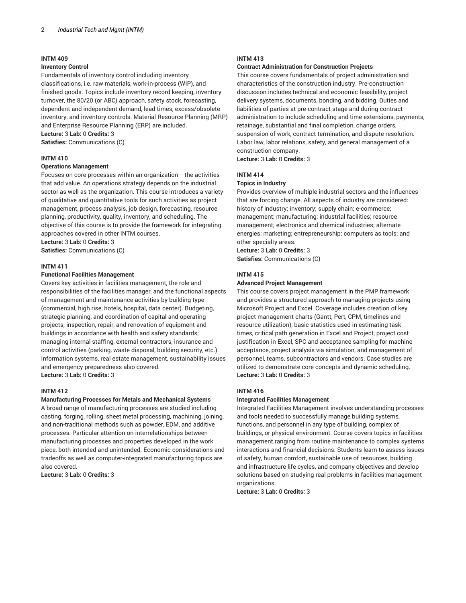#### **Inventory Control**

Fundamentals of inventory control including inventory classifications, i.e. raw materials, work-in-process (WIP), and finished goods. Topics include inventory record keeping, inventory turnover, the 80/20 (or ABC) approach, safety stock, forecasting, dependent and independent demand, lead times, excess/obsolete inventory, and inventory controls. Material Resource Planning (MRP) and Enterprise Resource Planning (ERP) are included. **Lecture:** 3 **Lab:** 0 **Credits:** 3

**Satisfies:** Communications (C)

#### **INTM 410**

## **Operations Management**

Focuses on core processes within an organization -- the activities that add value. An operations strategy depends on the industrial sector as well as the organization. This course introduces a variety of qualitative and quantitative tools for such activities as project management, process analysis, job design, forecasting, resource planning, productivity, quality, inventory, and scheduling. The objective of this course is to provide the framework for integrating approaches covered in other INTM courses.

**Lecture:** 3 **Lab:** 0 **Credits:** 3 **Satisfies:** Communications (C)

## **INTM 411**

#### **Functional Facilities Management**

Covers key activities in facilities management, the role and responsibilities of the facilities manager, and the functional aspects of management and maintenance activities by building type (commercial, high rise, hotels, hospital, data center). Budgeting, strategic planning, and coordination of capital and operating projects; inspection, repair, and renovation of equipment and buildings in accordance with health and safety standards; managing internal staffing, external contractors, insurance and control activities (parking, waste disposal, building security, etc.). Information systems, real estate management, sustainability issues and emergency preparedness also covered. **Lecture:** 3 **Lab:** 0 **Credits:** 3

#### **INTM 412**

## **Manufacturing Processes for Metals and Mechanical Systems**

A broad range of manufacturing processes are studied including casting, forging, rolling, sheet metal processing, machining, joining, and non-traditional methods such as powder, EDM, and additive processes. Particular attention on interrelationships between manufacturing processes and properties developed in the work piece, both intended and unintended. Economic considerations and tradeoffs as well as computer-integrated manufacturing topics are also covered.

**Lecture:** 3 **Lab:** 0 **Credits:** 3

## **INTM 413**

## **Contract Administration for Construction Projects**

This course covers fundamentals of project administration and characteristics of the construction industry. Pre-construction discussion includes technical and economic feasibility, project delivery systems, documents, bonding, and bidding. Duties and liabilities of parties at pre-contract stage and during contract administration to include scheduling and time extensions, payments, retainage, substantial and final completion, change orders, suspension of work, contract termination, and dispute resolution. Labor law, labor relations, safety, and general management of a construction company.

**Lecture:** 3 **Lab:** 0 **Credits:** 3

## **INTM 414**

#### **Topics in Industry**

Provides overview of multiple industrial sectors and the influences that are forcing change. All aspects of industry are considered: history of industry; inventory; supply chain; e-commerce; management; manufacturing; industrial facilities; resource management; electronics and chemical industries; alternate energies; marketing; entrepreneurship; computers as tools; and other specialty areas.

**Lecture:** 3 **Lab:** 0 **Credits:** 3

**Satisfies:** Communications (C)

## **INTM 415**

#### **Advanced Project Management**

This course covers project management in the PMP framework and provides a structured approach to managing projects using Microsoft Project and Excel. Coverage includes creation of key project management charts (Gantt, Pert, CPM, timelines and resource utilization), basic statistics used in estimating task times, critical path generation in Excel and Project, project cost justification in Excel, SPC and acceptance sampling for machine acceptance, project analysis via simulation, and management of personnel, teams, subcontractors and vendors. Case studies are utilized to demonstrate core concepts and dynamic scheduling. **Lecture:** 3 **Lab:** 0 **Credits:** 3

## **INTM 416**

#### **Integrated Facilities Management**

Integrated Facilities Management involves understanding processes and tools needed to successfully manage building systems, functions, and personnel in any type of building, complex of buildings, or physical environment. Course covers topics in facilities management ranging from routine maintenance to complex systems interactions and financial decisions. Students learn to assess issues of safety, human comfort, sustainable use of resources, building and infrastructure life cycles, and company objectives and develop solutions based on studying real problems in facilities management organizations.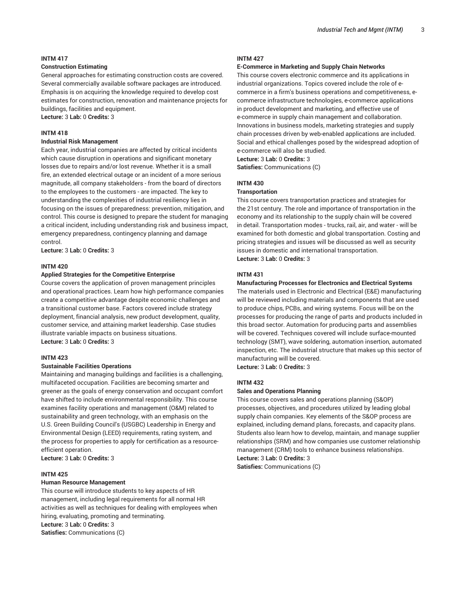## **Construction Estimating**

General approaches for estimating construction costs are covered. Several commercially available software packages are introduced. Emphasis is on acquiring the knowledge required to develop cost estimates for construction, renovation and maintenance projects for buildings, facilities and equipment.

**Lecture:** 3 **Lab:** 0 **Credits:** 3

## **INTM 418**

## **Industrial Risk Management**

Each year, industrial companies are affected by critical incidents which cause disruption in operations and significant monetary losses due to repairs and/or lost revenue. Whether it is a small fire, an extended electrical outage or an incident of a more serious magnitude, all company stakeholders - from the board of directors to the employees to the customers - are impacted. The key to understanding the complexities of industrial resiliency lies in focusing on the issues of preparedness: prevention, mitigation, and control. This course is designed to prepare the student for managing a critical incident, including understanding risk and business impact, emergency preparedness, contingency planning and damage control.

**Lecture:** 3 **Lab:** 0 **Credits:** 3

## **INTM 420**

## **Applied Strategies for the Competitive Enterprise**

Course covers the application of proven management principles and operational practices. Learn how high performance companies create a competitive advantage despite economic challenges and a transitional customer base. Factors covered include strategy deployment, financial analysis, new product development, quality, customer service, and attaining market leadership. Case studies illustrate variable impacts on business situations. **Lecture:** 3 **Lab:** 0 **Credits:** 3

#### **INTM 423**

#### **Sustainable Facilities Operations**

Maintaining and managing buildings and facilities is a challenging, multifaceted occupation. Facilities are becoming smarter and greener as the goals of energy conservation and occupant comfort have shifted to include environmental responsibility. This course examines facility operations and management (O&M) related to sustainability and green technology, with an emphasis on the U.S. Green Building Council's (USGBC) Leadership in Energy and Environmental Design (LEED) requirements, rating system, and the process for properties to apply for certification as a resourceefficient operation.

**Lecture:** 3 **Lab:** 0 **Credits:** 3

#### **INTM 425**

#### **Human Resource Management**

This course will introduce students to key aspects of HR management, including legal requirements for all normal HR activities as well as techniques for dealing with employees when hiring, evaluating, promoting and terminating. **Lecture:** 3 **Lab:** 0 **Credits:** 3 **Satisfies:** Communications (C)

#### **INTM 427**

#### **E-Commerce in Marketing and Supply Chain Networks**

This course covers electronic commerce and its applications in industrial organizations. Topics covered include the role of ecommerce in a firm's business operations and competitiveness, ecommerce infrastructure technologies, e-commerce applications in product development and marketing, and effective use of e-commerce in supply chain management and collaboration. Innovations in business models, marketing strategies and supply chain processes driven by web-enabled applications are included. Social and ethical challenges posed by the widespread adoption of e-commerce will also be studied. **Lecture:** 3 **Lab:** 0 **Credits:** 3

**Satisfies:** Communications (C)

# **INTM 430**

## **Transportation**

This course covers transportation practices and strategies for the 21st century. The role and importance of transportation in the economy and its relationship to the supply chain will be covered in detail. Transportation modes - trucks, rail, air, and water - will be examined for both domestic and global transportation. Costing and pricing strategies and issues will be discussed as well as security issues in domestic and international transportation. **Lecture:** 3 **Lab:** 0 **Credits:** 3

#### **INTM 431**

#### **Manufacturing Processes for Electronics and Electrical Systems**

The materials used in Electronic and Electrical (E&E) manufacturing will be reviewed including materials and components that are used to produce chips, PCBs, and wiring systems. Focus will be on the processes for producing the range of parts and products included in this broad sector. Automation for producing parts and assemblies will be covered. Techniques covered will include surface-mounted technology (SMT), wave soldering, automation insertion, automated inspection, etc. The industrial structure that makes up this sector of manufacturing will be covered.

**Lecture:** 3 **Lab:** 0 **Credits:** 3

## **INTM 432**

#### **Sales and Operations Planning**

This course covers sales and operations planning (S&OP) processes, objectives, and procedures utilized by leading global supply chain companies. Key elements of the S&OP process are explained, including demand plans, forecasts, and capacity plans. Students also learn how to develop, maintain, and manage supplier relationships (SRM) and how companies use customer relationship management (CRM) tools to enhance business relationships. **Lecture:** 3 **Lab:** 0 **Credits:** 3

**Satisfies:** Communications (C)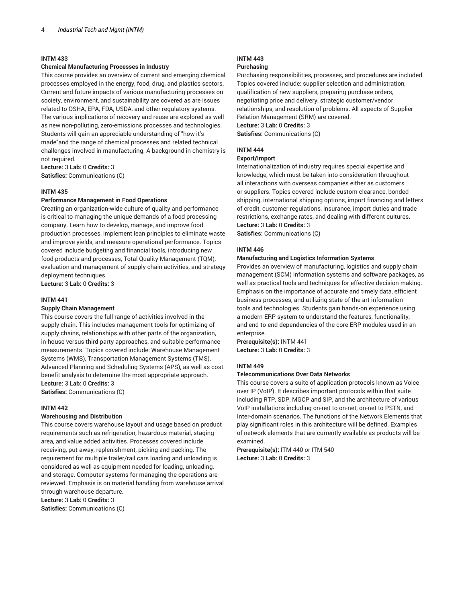## **Chemical Manufacturing Processes in Industry**

This course provides an overview of current and emerging chemical processes employed in the energy, food, drug, and plastics sectors. Current and future impacts of various manufacturing processes on society, environment, and sustainability are covered as are issues related to OSHA, EPA, FDA, USDA, and other regulatory systems. The various implications of recovery and reuse are explored as well as new non-polluting, zero-emissions processes and technologies. Students will gain an appreciable understanding of "how it's made"and the range of chemical processes and related technical challenges involved in manufacturing. A background in chemistry is not required.

**Lecture:** 3 **Lab:** 0 **Credits:** 3 **Satisfies:** Communications (C)

## **INTM 435**

## **Performance Management in Food Operations**

Creating an organization-wide culture of quality and performance is critical to managing the unique demands of a food processing company. Learn how to develop, manage, and improve food production processes, implement lean principles to eliminate waste and improve yields, and measure operational performance. Topics covered include budgeting and financial tools, introducing new food products and processes, Total Quality Management (TQM), evaluation and management of supply chain activities, and strategy deployment techniques.

**Lecture:** 3 **Lab:** 0 **Credits:** 3

#### **INTM 441**

## **Supply Chain Management**

This course covers the full range of activities involved in the supply chain. This includes management tools for optimizing of supply chains, relationships with other parts of the organization, in-house versus third party approaches, and suitable performance measurements. Topics covered include: Warehouse Management Systems (WMS), Transportation Management Systems (TMS), Advanced Planning and Scheduling Systems (APS), as well as cost benefit analysis to determine the most appropriate approach. **Lecture:** 3 **Lab:** 0 **Credits:** 3

**Satisfies:** Communications (C)

#### **INTM 442**

#### **Warehousing and Distribution**

This course covers warehouse layout and usage based on product requirements such as refrigeration, hazardous material, staging area, and value added activities. Processes covered include receiving, put-away, replenishment, picking and packing. The requirement for multiple trailer/rail cars loading and unloading is considered as well as equipment needed for loading, unloading, and storage. Computer systems for managing the operations are reviewed. Emphasis is on material handling from warehouse arrival through warehouse departure.

**Lecture:** 3 **Lab:** 0 **Credits:** 3

**Satisfies:** Communications (C)

# **INTM 443**

# **Purchasing**

Purchasing responsibilities, processes, and procedures are included. Topics covered include: supplier selection and administration, qualification of new suppliers, preparing purchase orders, negotiating price and delivery, strategic customer/vendor relationships, and resolution of problems. All aspects of Supplier Relation Management (SRM) are covered. **Lecture:** 3 **Lab:** 0 **Credits:** 3

**Satisfies:** Communications (C)

## **INTM 444**

#### **Export/Import**

Internationalization of industry requires special expertise and knowledge, which must be taken into consideration throughout all interactions with overseas companies either as customers or suppliers. Topics covered include custom clearance, bonded shipping, international shipping options, import financing and letters of credit, customer regulations, insurance, import duties and trade restrictions, exchange rates, and dealing with different cultures. **Lecture:** 3 **Lab:** 0 **Credits:** 3

**Satisfies:** Communications (C)

#### **INTM 446**

#### **Manufacturing and Logistics Information Systems**

Provides an overview of manufacturing, logistics and supply chain management (SCM) information systems and software packages, as well as practical tools and techniques for effective decision making. Emphasis on the importance of accurate and timely data, efficient business processes, and utilizing state-of-the-art information tools and technologies. Students gain hands-on experience using a modern ERP system to understand the features, functionality, and end-to-end dependencies of the core ERP modules used in an enterprise.

**Prerequisite(s):** INTM 441 **Lecture:** 3 **Lab:** 0 **Credits:** 3

## **INTM 449**

## **Telecommunications Over Data Networks**

This course covers a suite of application protocols known as Voice over IP (VoIP). It describes important protocols within that suite including RTP, SDP, MGCP and SIP, and the architecture of various VoIP installations including on-net to on-net, on-net to PSTN, and Inter-domain scenarios. The functions of the Network Elements that play significant roles in this architecture will be defined. Examples of network elements that are currently available as products will be examined.

**Prerequisite(s):** ITM 440 or ITM 540 **Lecture:** 3 **Lab:** 0 **Credits:** 3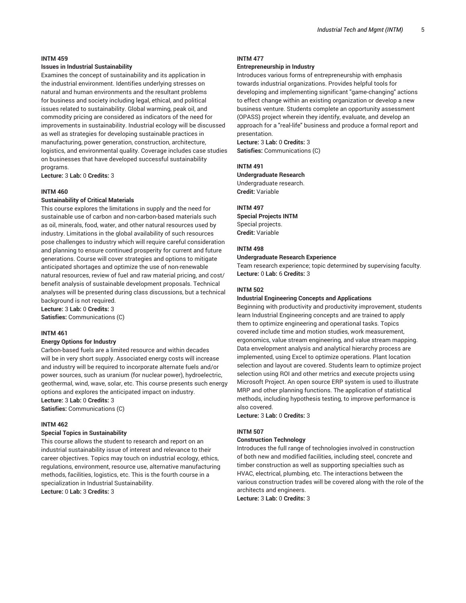#### **Issues in Industrial Sustainability**

Examines the concept of sustainability and its application in the industrial environment. Identifies underlying stresses on natural and human environments and the resultant problems for business and society including legal, ethical, and political issues related to sustainability. Global warming, peak oil, and commodity pricing are considered as indicators of the need for improvements in sustainability. Industrial ecology will be discussed as well as strategies for developing sustainable practices in manufacturing, power generation, construction, architecture, logistics, and environmental quality. Coverage includes case studies on businesses that have developed successful sustainability programs.

**Lecture:** 3 **Lab:** 0 **Credits:** 3

## **INTM 460**

## **Sustainability of Critical Materials**

This course explores the limitations in supply and the need for sustainable use of carbon and non-carbon-based materials such as oil, minerals, food, water, and other natural resources used by industry. Limitations in the global availability of such resources pose challenges to industry which will require careful consideration and planning to ensure continued prosperity for current and future generations. Course will cover strategies and options to mitigate anticipated shortages and optimize the use of non-renewable natural resources, review of fuel and raw material pricing, and cost/ benefit analysis of sustainable development proposals. Technical analyses will be presented during class discussions, but a technical background is not required.

**Lecture:** 3 **Lab:** 0 **Credits:** 3 **Satisfies:** Communications (C)

#### **INTM 461**

#### **Energy Options for Industry**

Carbon-based fuels are a limited resource and within decades will be in very short supply. Associated energy costs will increase and industry will be required to incorporate alternate fuels and/or power sources, such as uranium (for nuclear power), hydroelectric, geothermal, wind, wave, solar, etc. This course presents such energy options and explores the anticipated impact on industry. **Lecture:** 3 **Lab:** 0 **Credits:** 3

**Satisfies:** Communications (C)

#### **INTM 462**

#### **Special Topics in Sustainability**

This course allows the student to research and report on an industrial sustainability issue of interest and relevance to their career objectives. Topics may touch on industrial ecology, ethics, regulations, environment, resource use, alternative manufacturing methods, facilities, logistics, etc. This is the fourth course in a specialization in Industrial Sustainability. **Lecture:** 0 **Lab:** 3 **Credits:** 3

## **INTM 477**

## **Entrepreneurship in Industry**

Introduces various forms of entrepreneurship with emphasis towards industrial organizations. Provides helpful tools for developing and implementing significant "game-changing" actions to effect change within an existing organization or develop a new business venture. Students complete an opportunity assessment (OPASS) project wherein they identify, evaluate, and develop an approach for a "real-life" business and produce a formal report and presentation.

**Lecture:** 3 **Lab:** 0 **Credits:** 3 **Satisfies:** Communications (C)

#### **INTM 491**

**Undergraduate Research** Undergraduate research. **Credit:** Variable

#### **INTM 497**

**Special Projects INTM** Special projects. **Credit:** Variable

#### **INTM 498**

#### **Undergraduate Research Experience**

Team research experience; topic determined by supervising faculty. **Lecture:** 0 **Lab:** 6 **Credits:** 3

#### **INTM 502**

#### **Industrial Engineering Concepts and Applications**

Beginning with productivity and productivity improvement, students learn Industrial Engineering concepts and are trained to apply them to optimize engineering and operational tasks. Topics covered include time and motion studies, work measurement, ergonomics, value stream engineering, and value stream mapping. Data envelopment analysis and analytical hierarchy process are implemented, using Excel to optimize operations. Plant location selection and layout are covered. Students learn to optimize project selection using ROI and other metrics and execute projects using Microsoft Project. An open source ERP system is used to illustrate MRP and other planning functions. The application of statistical methods, including hypothesis testing, to improve performance is also covered.

**Lecture:** 3 **Lab:** 0 **Credits:** 3

#### **INTM 507**

#### **Construction Technology**

Introduces the full range of technologies involved in construction of both new and modified facilities, including steel, concrete and timber construction as well as supporting specialties such as HVAC, electrical, plumbing, etc. The interactions between the various construction trades will be covered along with the role of the architects and engineers.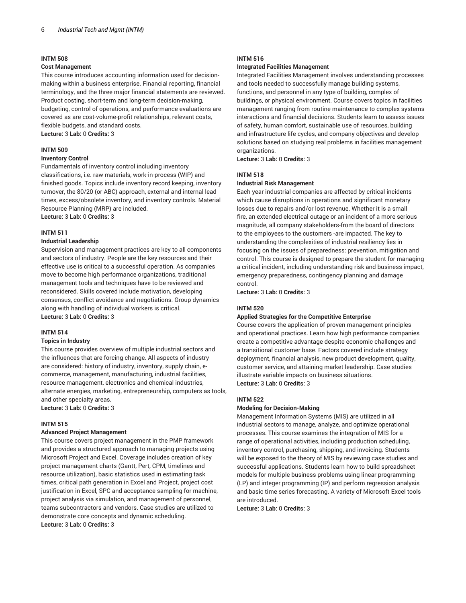#### **Cost Management**

This course introduces accounting information used for decisionmaking within a business enterprise. Financial reporting, financial terminology, and the three major financial statements are reviewed. Product costing, short-term and long-term decision-making, budgeting, control of operations, and performance evaluations are covered as are cost-volume-profit relationships, relevant costs, flexible budgets, and standard costs. **Lecture:** 3 **Lab:** 0 **Credits:** 3

## **INTM 509**

#### **Inventory Control**

Fundamentals of inventory control including inventory classifications, i.e. raw materials, work-in-process (WIP) and finished goods. Topics include inventory record keeping, inventory turnover, the 80/20 (or ABC) approach, external and internal lead times, excess/obsolete inventory, and inventory controls. Material Resource Planning (MRP) are included. **Lecture:** 3 **Lab:** 0 **Credits:** 3

## **INTM 511**

## **Industrial Leadership**

Supervision and management practices are key to all components and sectors of industry. People are the key resources and their effective use is critical to a successful operation. As companies move to become high performance organizations, traditional management tools and techniques have to be reviewed and reconsidered. Skills covered include motivation, developing consensus, conflict avoidance and negotiations. Group dynamics along with handling of individual workers is critical. **Lecture:** 3 **Lab:** 0 **Credits:** 3

## **INTM 514**

#### **Topics in Industry**

This course provides overview of multiple industrial sectors and the influences that are forcing change. All aspects of industry are considered: history of industry, inventory, supply chain, ecommerce, management, manufacturing, industrial facilities, resource management, electronics and chemical industries, alternate energies, marketing, entrepreneurship, computers as tools, and other specialty areas.

**Lecture:** 3 **Lab:** 0 **Credits:** 3

#### **INTM 515**

## **Advanced Project Management**

This course covers project management in the PMP framework and provides a structured approach to managing projects using Microsoft Project and Excel. Coverage includes creation of key project management charts (Gantt, Pert, CPM, timelines and resource utilization), basic statistics used in estimating task times, critical path generation in Excel and Project, project cost justification in Excel, SPC and acceptance sampling for machine, project analysis via simulation, and management of personnel, teams subcontractors and vendors. Case studies are utilized to demonstrate core concepts and dynamic scheduling. **Lecture:** 3 **Lab:** 0 **Credits:** 3

## **INTM 516**

#### **Integrated Facilities Management**

Integrated Facilities Management involves understanding processes and tools needed to successfully manage building systems, functions, and personnel in any type of building, complex of buildings, or physical environment. Course covers topics in facilities management ranging from routine maintenance to complex systems interactions and financial decisions. Students learn to assess issues of safety, human comfort, sustainable use of resources, building and infrastructure life cycles, and company objectives and develop solutions based on studying real problems in facilities management organizations.

**Lecture:** 3 **Lab:** 0 **Credits:** 3

#### **INTM 518**

## **Industrial Risk Management**

Each year industrial companies are affected by critical incidents which cause disruptions in operations and significant monetary losses due to repairs and/or lost revenue. Whether it is a small fire, an extended electrical outage or an incident of a more serious magnitude, all company stakeholders-from the board of directors to the employees to the customers -are impacted. The key to understanding the complexities of industrial resiliency lies in focusing on the issues of preparedness: prevention, mitigation and control. This course is designed to prepare the student for managing a critical incident, including understanding risk and business impact, emergency preparedness, contingency planning and damage control.

**Lecture:** 3 **Lab:** 0 **Credits:** 3

#### **INTM 520**

## **Applied Strategies for the Competitive Enterprise**

Course covers the application of proven management principles and operational practices. Learn how high performance companies create a competitive advantage despite economic challenges and a transitional customer base. Factors covered include strategy deployment, financial analysis, new product development, quality, customer service, and attaining market leadership. Case studies illustrate variable impacts on business situations. **Lecture:** 3 **Lab:** 0 **Credits:** 3

#### **INTM 522**

#### **Modeling for Decision-Making**

Management Information Systems (MIS) are utilized in all industrial sectors to manage, analyze, and optimize operational processes. This course examines the integration of MIS for a range of operational activities, including production scheduling, inventory control, purchasing, shipping, and invoicing. Students will be exposed to the theory of MIS by reviewing case studies and successful applications. Students learn how to build spreadsheet models for multiple business problems using linear programming (LP) and integer programming (IP) and perform regression analysis and basic time series forecasting. A variety of Microsoft Excel tools are introduced.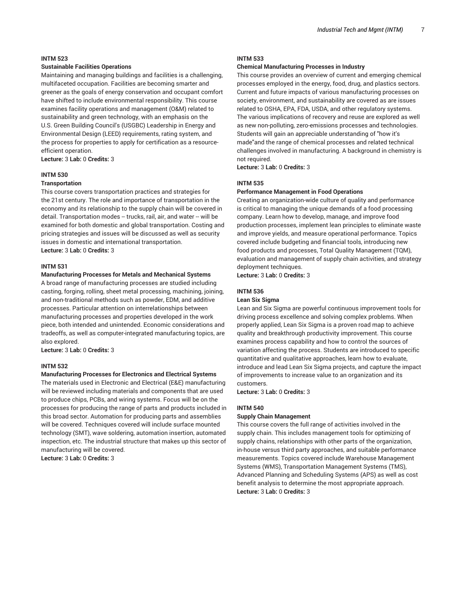## **Sustainable Facilities Operations**

Maintaining and managing buildings and facilities is a challenging, multifaceted occupation. Facilities are becoming smarter and greener as the goals of energy conservation and occupant comfort have shifted to include environmental responsibility. This course examines facility operations and management (O&M) related to sustainability and green technology, with an emphasis on the U.S. Green Building Council's (USGBC) Leadership in Energy and Environmental Design (LEED) requirements, rating system, and the process for properties to apply for certification as a resourceefficient operation.

**Lecture:** 3 **Lab:** 0 **Credits:** 3

## **INTM 530**

## **Transportation**

This course covers transportation practices and strategies for the 21st century. The role and importance of transportation in the economy and its relationship to the supply chain will be covered in detail. Transportation modes -- trucks, rail, air, and water -- will be examined for both domestic and global transportation. Costing and pricing strategies and issues will be discussed as well as security issues in domestic and international transportation. **Lecture:** 3 **Lab:** 0 **Credits:** 3

#### **INTM 531**

#### **Manufacturing Processes for Metals and Mechanical Systems**

A broad range of manufacturing processes are studied including casting, forging, rolling, sheet metal processing, machining, joining, and non-traditional methods such as powder, EDM, and additive processes. Particular attention on interrelationships between manufacturing processes and properties developed in the work piece, both intended and unintended. Economic considerations and tradeoffs, as well as computer-integrated manufacturing topics, are also explored.

**Lecture:** 3 **Lab:** 0 **Credits:** 3

#### **INTM 532**

### **Manufacturing Processes for Electronics and Electrical Systems**

The materials used in Electronic and Electrical (E&E) manufacturing will be reviewed including materials and components that are used to produce chips, PCBs, and wiring systems. Focus will be on the processes for producing the range of parts and products included in this broad sector. Automation for producing parts and assemblies will be covered. Techniques covered will include surface mounted technology (SMT), wave soldering, automation insertion, automated inspection, etc. The industrial structure that makes up this sector of manufacturing will be covered.

**Lecture:** 3 **Lab:** 0 **Credits:** 3

## **INTM 533**

## **Chemical Manufacturing Processes in Industry**

This course provides an overview of current and emerging chemical processes employed in the energy, food, drug, and plastics sectors. Current and future impacts of various manufacturing processes on society, environment, and sustainability are covered as are issues related to OSHA, EPA, FDA, USDA, and other regulatory systems. The various implications of recovery and reuse are explored as well as new non-polluting, zero-emissions processes and technologies. Students will gain an appreciable understanding of "how it's made"and the range of chemical processes and related technical challenges involved in manufacturing. A background in chemistry is not required.

**Lecture:** 3 **Lab:** 0 **Credits:** 3

## **INTM 535**

#### **Performance Management in Food Operations**

Creating an organization-wide culture of quality and performance is critical to managing the unique demands of a food processing company. Learn how to develop, manage, and improve food production processes, implement lean principles to eliminate waste and improve yields, and measure operational performance. Topics covered include budgeting and financial tools, introducing new food products and processes, Total Quality Management (TQM), evaluation and management of supply chain activities, and strategy deployment techniques.

**Lecture:** 3 **Lab:** 0 **Credits:** 3

## **INTM 536**

#### **Lean Six Sigma**

Lean and Six Sigma are powerful continuous improvement tools for driving process excellence and solving complex problems. When properly applied, Lean Six Sigma is a proven road map to achieve quality and breakthrough productivity improvement. This course examines process capability and how to control the sources of variation affecting the process. Students are introduced to specific quantitative and qualitative approaches, learn how to evaluate, introduce and lead Lean Six Sigma projects, and capture the impact of improvements to increase value to an organization and its customers.

**Lecture:** 3 **Lab:** 0 **Credits:** 3

#### **INTM 540**

#### **Supply Chain Management**

This course covers the full range of activities involved in the supply chain. This includes management tools for optimizing of supply chains, relationships with other parts of the organization, in-house versus third party approaches, and suitable performance measurements. Topics covered include Warehouse Management Systems (WMS), Transportation Management Systems (TMS), Advanced Planning and Scheduling Systems (APS) as well as cost benefit analysis to determine the most appropriate approach. **Lecture:** 3 **Lab:** 0 **Credits:** 3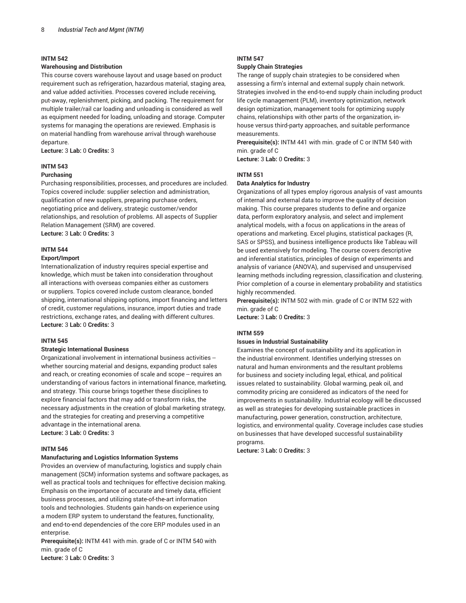## **Warehousing and Distribution**

This course covers warehouse layout and usage based on product requirement such as refrigeration, hazardous material, staging area, and value added activities. Processes covered include receiving, put-away, replenishment, picking, and packing. The requirement for multiple trailer/rail car loading and unloading is considered as well as equipment needed for loading, unloading and storage. Computer systems for managing the operations are reviewed. Emphasis is on material handling from warehouse arrival through warehouse departure.

**Lecture:** 3 **Lab:** 0 **Credits:** 3

## **INTM 543**

## **Purchasing**

Purchasing responsibilities, processes, and procedures are included. Topics covered include: supplier selection and administration, qualification of new suppliers, preparing purchase orders, negotiating price and delivery, strategic customer/vendor relationships, and resolution of problems. All aspects of Supplier Relation Management (SRM) are covered. **Lecture:** 3 **Lab:** 0 **Credits:** 3

#### **INTM 544**

#### **Export/Import**

Internationalization of industry requires special expertise and knowledge, which must be taken into consideration throughout all interactions with overseas companies either as customers or suppliers. Topics covered include custom clearance, bonded shipping, international shipping options, import financing and letters of credit, customer regulations, insurance, import duties and trade restrictions, exchange rates, and dealing with different cultures. **Lecture:** 3 **Lab:** 0 **Credits:** 3

#### **INTM 545**

#### **Strategic International Business**

Organizational involvement in international business activities - whether sourcing material and designs, expanding product sales and reach, or creating economies of scale and scope -- requires an understanding of various factors in international finance, marketing, and strategy. This course brings together these disciplines to explore financial factors that may add or transform risks, the necessary adjustments in the creation of global marketing strategy, and the strategies for creating and preserving a competitive advantage in the international arena. **Lecture:** 3 **Lab:** 0 **Credits:** 3

## **INTM 546**

#### **Manufacturing and Logistics Information Systems**

Provides an overview of manufacturing, logistics and supply chain management (SCM) information systems and software packages, as well as practical tools and techniques for effective decision making. Emphasis on the importance of accurate and timely data, efficient business processes, and utilizing state-of-the-art information tools and technologies. Students gain hands-on experience using a modern ERP system to understand the features, functionality, and end-to-end dependencies of the core ERP modules used in an enterprise.

**Prerequisite(s):** INTM 441 with min. grade of C or INTM 540 with min. grade of C

**Lecture:** 3 **Lab:** 0 **Credits:** 3

# **INTM 547**

## **Supply Chain Strategies**

The range of supply chain strategies to be considered when assessing a firm's internal and external supply chain network. Strategies involved in the end-to-end supply chain including product life cycle management (PLM), inventory optimization, network design optimization, management tools for optimizing supply chains, relationships with other parts of the organization, inhouse versus third-party approaches, and suitable performance measurements.

**Prerequisite(s):** INTM 441 with min. grade of C or INTM 540 with min. grade of C

**Lecture:** 3 **Lab:** 0 **Credits:** 3

## **INTM 551**

## **Data Analytics for Industry**

Organizations of all types employ rigorous analysis of vast amounts of internal and external data to improve the quality of decision making. This course prepares students to define and organize data, perform exploratory analysis, and select and implement analytical models, with a focus on applications in the areas of operations and marketing. Excel plugins, statistical packages (R, SAS or SPSS), and business intelligence products like Tableau will be used extensively for modeling. The course covers descriptive and inferential statistics, principles of design of experiments and analysis of variance (ANOVA), and supervised and unsupervised learning methods including regression, classification and clustering. Prior completion of a course in elementary probability and statistics highly recommended.

**Prerequisite(s):** INTM 502 with min. grade of C or INTM 522 with min. grade of C

**Lecture:** 3 **Lab:** 0 **Credits:** 3

#### **INTM 559**

## **Issues in Industrial Sustainability**

Examines the concept of sustainability and its application in the industrial environment. Identifies underlying stresses on natural and human environments and the resultant problems for business and society including legal, ethical, and political issues related to sustainability. Global warming, peak oil, and commodity pricing are considered as indicators of the need for improvements in sustainability. Industrial ecology will be discussed as well as strategies for developing sustainable practices in manufacturing, power generation, construction, architecture, logistics, and environmental quality. Coverage includes case studies on businesses that have developed successful sustainability programs.